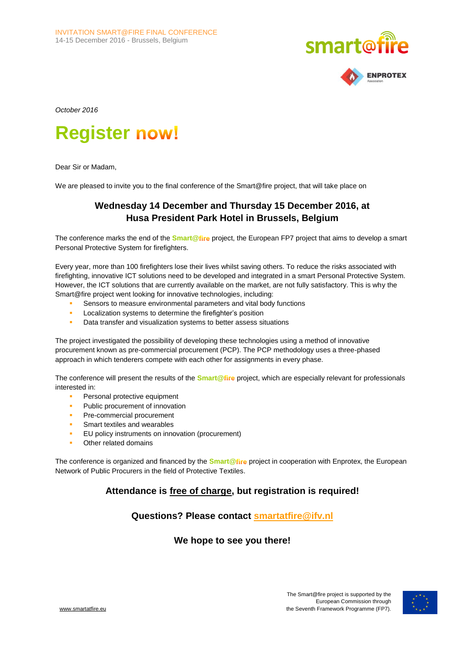



*October 2016*

# **Register**

Dear Sir or Madam,

We are pleased to invite you to the final conference of the Smart@fire project, that will take place on

## **Wednesday 14 December and Thursday 15 December 2016, at Husa President Park Hotel in Brussels, Belgium**

The conference marks the end of the **Smart@fire** project, the European FP7 project that aims to develop a smart Personal Protective System for firefighters.

Every year, more than 100 firefighters lose their lives whilst saving others. To reduce the risks associated with firefighting, innovative ICT solutions need to be developed and integrated in a smart Personal Protective System. However, the ICT solutions that are currently available on the market, are not fully satisfactory. This is why the Smart@fire project went looking for innovative technologies, including:

- Sensors to measure environmental parameters and vital body functions
- Localization systems to determine the firefighter's position
- **Data transfer and visualization systems to better assess situations**

The project investigated the possibility of developing these technologies using a method of innovative procurement known as pre-commercial procurement (PCP). The PCP methodology uses a three-phased approach in which tenderers compete with each other for assignments in every phase.

The conference will present the results of the **Smart@** fire project, which are especially relevant for professionals interested in:

- **Personal protective equipment**
- Public procurement of innovation
- Pre-commercial procurement
- Smart textiles and wearables
- EU policy instruments on innovation (procurement)
- Other related domains

The conference is organized and financed by the **Smart@fire** project in cooperation with Enprotex, the European Network of Public Procurers in the field of Protective Textiles.

## **Attendance is free of charge, but registration is required!**

## **Questions? Please contact [smartatfire@ifv.nl](mailto:smartatfire@ifv.nl)**

## **We hope to see you there!**

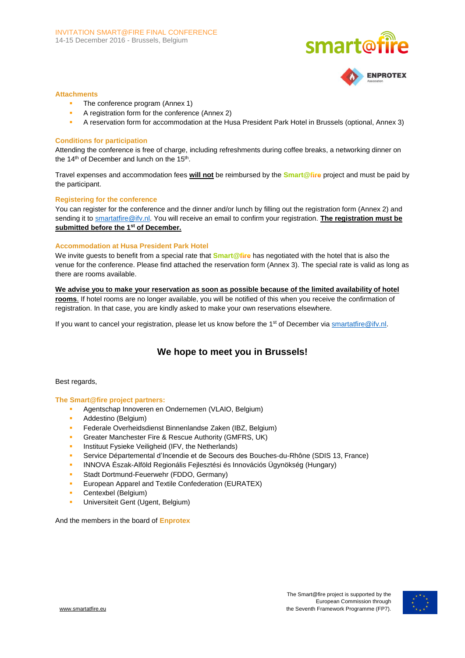



#### **Attachments**

- The conference program (Annex 1)
- A registration form for the conference (Annex 2)
- A reservation form for accommodation at the Husa President Park Hotel in Brussels (optional, Annex 3)

#### **Conditions for participation**

Attending the conference is free of charge, including refreshments during coffee breaks, a networking dinner on the 14<sup>th</sup> of December and lunch on the 15<sup>th</sup>.

Travel expenses and accommodation fees **will not** be reimbursed by the **Smart@** project and must be paid by the participant.

#### **Registering for the conference**

You can register for the conference and the dinner and/or lunch by filling out the registration form (Annex 2) and sending it to **smartatfire@ifv.nl.** You will receive an email to confirm your registration. **The registration must be submitted before the 1st of December.** 

#### **Accommodation at Husa President Park Hotel**

We invite guests to benefit from a special rate that **Smart@fire** has negotiated with the hotel that is also the venue for the conference. Please find attached the reservation form (Annex 3). The special rate is valid as long as there are rooms available.

**We advise you to make your reservation as soon as possible because of the limited availability of hotel rooms**. If hotel rooms are no longer available, you will be notified of this when you receive the confirmation of registration. In that case, you are kindly asked to make your own reservations elsewhere.

If you want to cancel your registration, please let us know before the 1<sup>st</sup> of December vi[a smartatfire@ifv.nl.](mailto:smartatfire@ifv.nl)

## **We hope to meet you in Brussels!**

#### Best regards,

#### **The Smart@fire project partners:**

- **Agentschap Innoveren en Ondernemen (VLAIO, Belgium)**
- Addestino (Belgium)
- Federale Overheidsdienst Binnenlandse Zaken (IBZ, Belgium)
- Greater Manchester Fire & Rescue Authority (GMFRS, UK)
- Instituut Fysieke Veiligheid (IFV, the Netherlands)
- Service Départemental d'Incendie et de Secours des Bouches-du-Rhône (SDIS 13, France)
- INNOVA Észak-Alföld Regionális Fejlesztési és Innovációs Ügynökség (Hungary)
- Stadt Dortmund-Feuerwehr (FDDO, Germany)
- **EURATEX** European Apparel and Textile Confederation (EURATEX)
- Centexbel (Belgium)
- Universiteit Gent (Ugent, Belgium)

And the members in the board of **Enprotex**

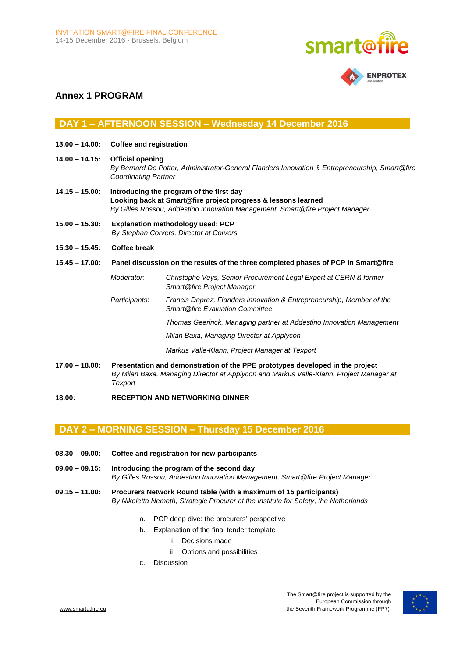



## **Annex 1 PROGRAM**

## **DAY 1 – AFTERNOON SESSION – Wednesday 14 December 2016**

- **13.00 – 14.00: Coffee and registration**
- **14.00 – 14.15: Official opening** *By Bernard De Potter, Administrator-General Flanders Innovation & Entrepreneurship, Smart@fire Coordinating Partner*
- **14.15 – 15.00: Introducing the program of the first day Looking back at Smart@fire project progress & lessons learned** *By Gilles Rossou, Addestino Innovation Management, Smart@fire Project Manager*
- **15.00 – 15.30: Explanation methodology used: PCP** *By Stephan Corvers, Director at Corvers*
- **15.30 – 15.45: Coffee break**
- **15.45 – 17.00: Panel discussion on the results of the three completed phases of PCP in Smart@fire**

### *Moderator: Christophe Veys, Senior Procurement Legal Expert at CERN & former Smart@fire Project Manager*

*Participants*: *Francis Deprez, Flanders Innovation & Entrepreneurship, Member of the Smart@fire Evaluation Committee*

*Thomas Geerinck, Managing partner at Addestino Innovation Management* 

*Milan Baxa, Managing Director at Applycon*

*Markus Valle-Klann, Project Manager at Texport*

- **17.00 – 18.00: Presentation and demonstration of the PPE prototypes developed in the project** *By Milan Baxa, Managing Director at Applycon and Markus Valle-Klann, Project Manager at Texport*
- **18.00: RECEPTION AND NETWORKING DINNER**

## **DAY 2 – MORNING SESSION – Thursday 15 December 2016**

- **08.30 – 09.00: Coffee and registration for new participants**
- **09.00 – 09.15: Introducing the program of the second day** *By Gilles Rossou, Addestino Innovation Management, Smart@fire Project Manager*
- **09.15 – 11.00: Procurers Network Round table (with a maximum of 15 participants)** *By Nikoletta Nemeth, Strategic Procurer at the Institute for Safety, the Netherlands*
	- a. PCP deep dive: the procurers' perspective
		- b. Explanation of the final tender template
			- i. Decisions made
			- ii. Options and possibilities
		- c. Discussion

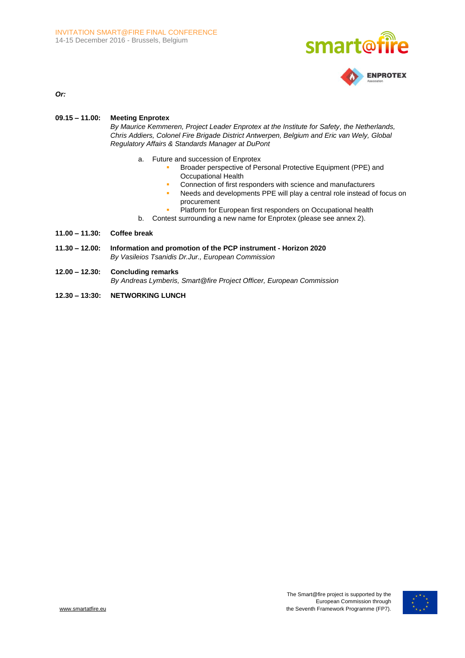



*Or:*

#### **09.15 – 11.00: Meeting Enprotex**

*By Maurice Kemmeren, Project Leader Enprotex at the Institute for Safety, the Netherlands, Chris Addiers, Colonel Fire Brigade District Antwerpen, Belgium and Eric van Wely, Global Regulatory Affairs & Standards Manager at DuPont*

- a. Future and succession of Enprotex
	- **Broader perspective of Personal Protective Equipment (PPE) and** Occupational Health
	- **Connection of first responders with science and manufacturers**
	- Needs and developments PPE will play a central role instead of focus on procurement
	- Platform for European first responders on Occupational health
- b. Contest surrounding a new name for Enprotex (please see annex 2).
- **11.00 – 11.30: Coffee break**
- **11.30 – 12.00: Information and promotion of the PCP instrument - Horizon 2020** *By Vasileios Tsanidis Dr.Jur., European Commission*
- **12.00 – 12.30: Concluding remarks** *By Andreas Lymberis, Smart@fire Project Officer, European Commission*
- **12.30 – 13:30: NETWORKING LUNCH**

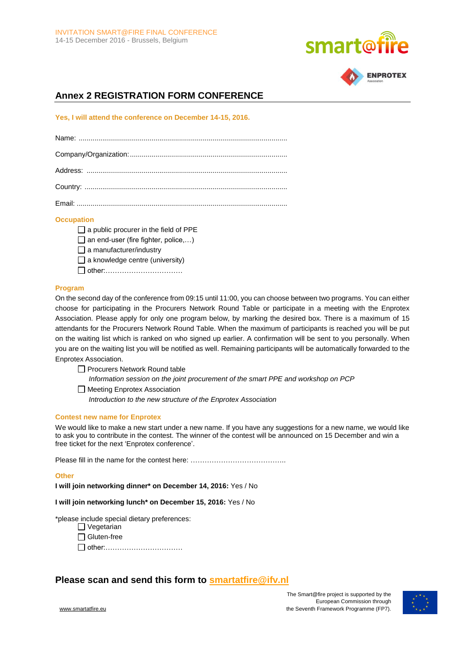



# **Annex 2 REGISTRATION FORM CONFERENCE**

**Yes, I will attend the conference on December 14-15, 2016.**

## **Occupation**

 $\Box$  a public procurer in the field of PPE  $\Box$  an end-user (fire fighter, police,...)  $\Box$  a manufacturer/industry  $\Box$  a knowledge centre (university) other:……………………………

## **Program**

On the second day of the conference from 09:15 until 11:00, you can choose between two programs. You can either choose for participating in the Procurers Network Round Table or participate in a meeting with the Enprotex Association. Please apply for only one program below, by marking the desired box. There is a maximum of 15 attendants for the Procurers Network Round Table. When the maximum of participants is reached you will be put on the waiting list which is ranked on who signed up earlier. A confirmation will be sent to you personally. When you are on the waiting list you will be notified as well. Remaining participants will be automatically forwarded to the Enprotex Association.

□ Procurers Network Round table *Information session on the joint procurement of the smart PPE and workshop on PCP* □ Meeting Enprotex Association

*Introduction to the new structure of the Enprotex Association*

#### **Contest new name for Enprotex**

We would like to make a new start under a new name. If you have any suggestions for a new name, we would like to ask you to contribute in the contest. The winner of the contest will be announced on 15 December and win a free ticket for the next 'Enprotex conference'.

Please fill in the name for the contest here: …………………………………………………………………………………………

#### **Other**

**I will join networking dinner\* on December 14, 2016:** Yes / No

**I will join networking lunch\* on December 15, 2016:** Yes / No

\*please include special dietary preferences:

| Vegetarian    |
|---------------|
| ∫ Gluten-free |

other:……………………………

## **Please scan and send this form to [smartatfire@ifv.nl](mailto:smartatfire@ifv.nl)**